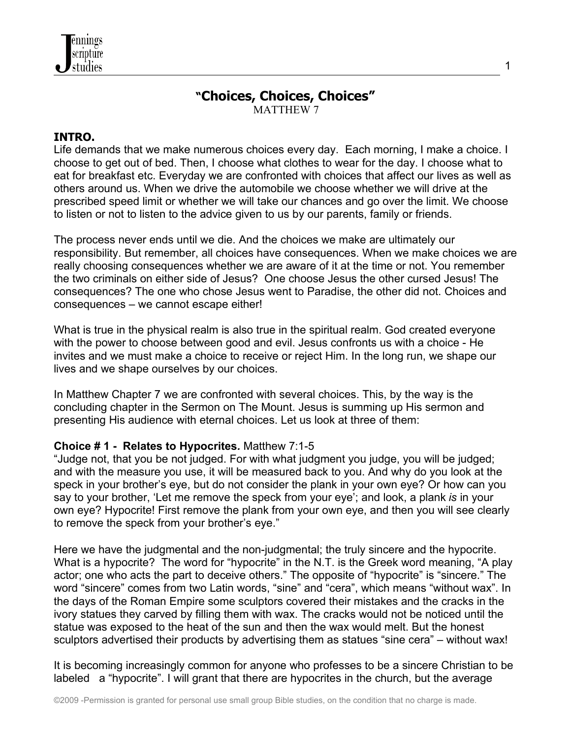# **"Choices, Choices, Choices"**

1

MATTHEW 7

### **INTRO.**

Life demands that we make numerous choices every day. Each morning, I make a choice. I choose to get out of bed. Then, I choose what clothes to wear for the day. I choose what to eat for breakfast etc. Everyday we are confronted with choices that affect our lives as well as others around us. When we drive the automobile we choose whether we will drive at the prescribed speed limit or whether we will take our chances and go over the limit. We choose to listen or not to listen to the advice given to us by our parents, family or friends.

The process never ends until we die. And the choices we make are ultimately our responsibility. But remember, all choices have consequences. When we make choices we are really choosing consequences whether we are aware of it at the time or not. You remember the two criminals on either side of Jesus? One choose Jesus the other cursed Jesus! The consequences? The one who chose Jesus went to Paradise, the other did not. Choices and consequences – we cannot escape either!

What is true in the physical realm is also true in the spiritual realm. God created everyone with the power to choose between good and evil. Jesus confronts us with a choice - He invites and we must make a choice to receive or reject Him. In the long run, we shape our lives and we shape ourselves by our choices.

In Matthew Chapter 7 we are confronted with several choices. This, by the way is the concluding chapter in the Sermon on The Mount. Jesus is summing up His sermon and presenting His audience with eternal choices. Let us look at three of them:

#### **Choice # 1 - Relates to Hypocrites***.* Matthew 7:1-5

"Judge not, that you be not judged. For with what judgment you judge, you will be judged; and with the measure you use, it will be measured back to you. And why do you look at the speck in your brother's eye, but do not consider the plank in your own eye? Or how can you say to your brother, 'Let me remove the speck from your eye'; and look, a plank *is* in your own eye? Hypocrite! First remove the plank from your own eye, and then you will see clearly to remove the speck from your brother's eye."

Here we have the judgmental and the non-judgmental; the truly sincere and the hypocrite. What is a hypocrite? The word for "hypocrite" in the N.T. is the Greek word meaning, "A play actor; one who acts the part to deceive others." The opposite of "hypocrite" is "sincere." The word "sincere" comes from two Latin words, "sine" and "cera", which means "without wax". In the days of the Roman Empire some sculptors covered their mistakes and the cracks in the ivory statues they carved by filling them with wax. The cracks would not be noticed until the statue was exposed to the heat of the sun and then the wax would melt. But the honest sculptors advertised their products by advertising them as statues "sine cera" – without wax!

It is becoming increasingly common for anyone who professes to be a sincere Christian to be labeled a "hypocrite". I will grant that there are hypocrites in the church, but the average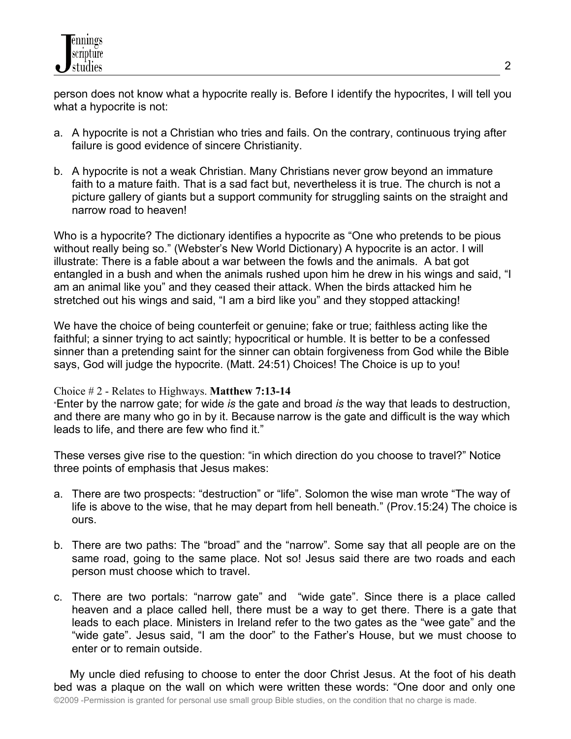person does not know what a hypocrite really is. Before I identify the hypocrites, I will tell you what a hypocrite is not:

- a. A hypocrite is not a Christian who tries and fails. On the contrary, continuous trying after failure is good evidence of sincere Christianity.
- b. A hypocrite is not a weak Christian. Many Christians never grow beyond an immature faith to a mature faith. That is a sad fact but, nevertheless it is true. The church is not a picture gallery of giants but a support community for struggling saints on the straight and narrow road to heaven!

Who is a hypocrite? The dictionary identifies a hypocrite as "One who pretends to be pious without really being so." (Webster's New World Dictionary) A hypocrite is an actor. I will illustrate: There is a fable about a war between the fowls and the animals. A bat got entangled in a bush and when the animals rushed upon him he drew in his wings and said, "I am an animal like you" and they ceased their attack. When the birds attacked him he stretched out his wings and said, "I am a bird like you" and they stopped attacking!

We have the choice of being counterfeit or genuine; fake or true; faithless acting like the faithful; a sinner trying to act saintly; hypocritical or humble. It is better to be a confessed sinner than a pretending saint for the sinner can obtain forgiveness from God while the Bible says, God will judge the hypocrite. (Matt. 24:51) Choices! The Choice is up to you!

#### Choice # 2 - Relates to Highways. **Matthew 7:13-14**

"Enter by the narrow gate; for wide *is* the gate and broad *is* the way that leads to destruction, and there are many who go in by it. Because narrow is the gate and difficult is the way which leads to life, and there are few who find it."

These verses give rise to the question: "in which direction do you choose to travel?" Notice three points of emphasis that Jesus makes:

- a. There are two prospects: "destruction" or "life". Solomon the wise man wrote "The way of life is above to the wise, that he may depart from hell beneath." (Prov.15:24) The choice is ours.
- b. There are two paths: The "broad" and the "narrow". Some say that all people are on the same road, going to the same place. Not so! Jesus said there are two roads and each person must choose which to travel.
- c. There are two portals: "narrow gate" and "wide gate". Since there is a place called heaven and a place called hell, there must be a way to get there. There is a gate that leads to each place. Ministers in Ireland refer to the two gates as the "wee gate" and the "wide gate". Jesus said, "I am the door" to the Father's House, but we must choose to enter or to remain outside.

 My uncle died refusing to choose to enter the door Christ Jesus. At the foot of his death bed was a plaque on the wall on which were written these words: "One door and only one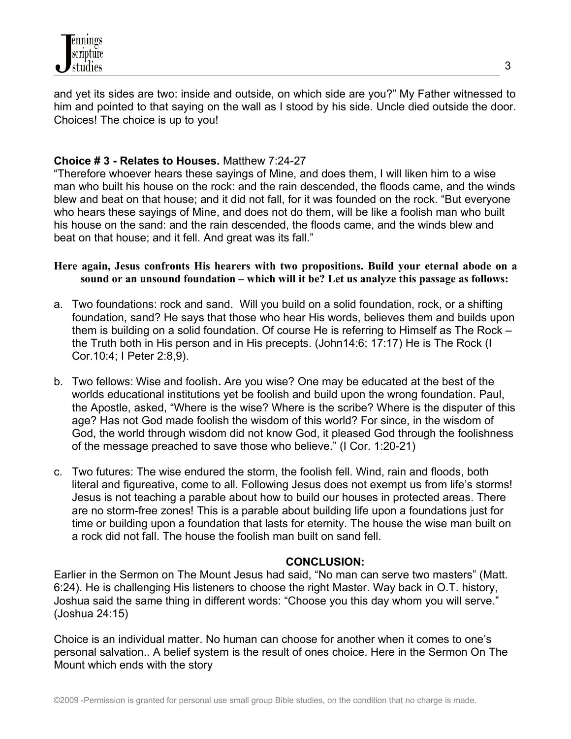and yet its sides are two: inside and outside, on which side are you?" My Father witnessed to him and pointed to that saying on the wall as I stood by his side. Uncle died outside the door. Choices! The choice is up to you!

## **Choice # 3 - Relates to Houses.** Matthew 7:24-27

"Therefore whoever hears these sayings of Mine, and does them, I will liken him to a wise man who built his house on the rock: and the rain descended, the floods came, and the winds blew and beat on that house; and it did not fall, for it was founded on the rock. "But everyone who hears these sayings of Mine, and does not do them, will be like a foolish man who built his house on the sand: and the rain descended, the floods came, and the winds blew and beat on that house; and it fell. And great was its fall."

#### **Here again, Jesus confronts His hearers with two propositions. Build your eternal abode on a sound or an unsound foundation – which will it be? Let us analyze this passage as follows:**

- a. Two foundations: rock and sand. Will you build on a solid foundation, rock, or a shifting foundation, sand? He says that those who hear His words, believes them and builds upon them is building on a solid foundation. Of course He is referring to Himself as The Rock – the Truth both in His person and in His precepts. (John14:6; 17:17) He is The Rock (I Cor.10:4; I Peter 2:8,9).
- b. Two fellows: Wise and foolish**.** Are you wise? One may be educated at the best of the worlds educational institutions yet be foolish and build upon the wrong foundation. Paul, the Apostle, asked, "Where is the wise? Where is the scribe? Where is the disputer of this age? Has not God made foolish the wisdom of this world? For since, in the wisdom of God, the world through wisdom did not know God, it pleased God through the foolishness of the message preached to save those who believe." (I Cor. 1:20-21)
- c. Two futures: The wise endured the storm, the foolish fell. Wind, rain and floods, both literal and figureative, come to all. Following Jesus does not exempt us from life's storms! Jesus is not teaching a parable about how to build our houses in protected areas. There are no storm-free zones! This is a parable about building life upon a foundations just for time or building upon a foundation that lasts for eternity. The house the wise man built on a rock did not fall. The house the foolish man built on sand fell.

## **CONCLUSION:**

Earlier in the Sermon on The Mount Jesus had said, "No man can serve two masters" (Matt. 6:24). He is challenging His listeners to choose the right Master. Way back in O.T. history, Joshua said the same thing in different words: "Choose you this day whom you will serve." (Joshua 24:15)

Choice is an individual matter. No human can choose for another when it comes to one's personal salvation.. A belief system is the result of ones choice. Here in the Sermon On The Mount which ends with the story